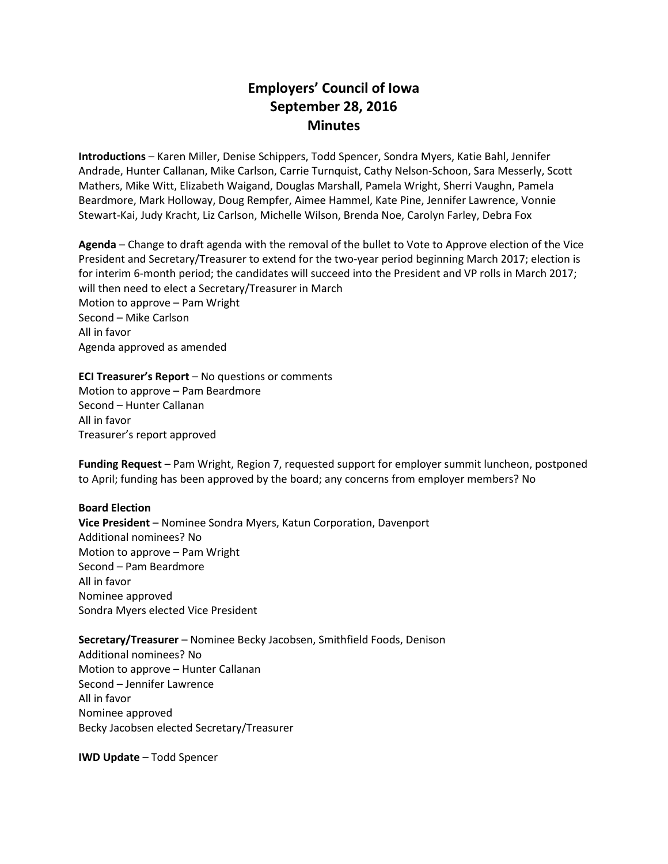# **Employers' Council of Iowa September 28, 2016 Minutes**

**Introductions** – Karen Miller, Denise Schippers, Todd Spencer, Sondra Myers, Katie Bahl, Jennifer Andrade, Hunter Callanan, Mike Carlson, Carrie Turnquist, Cathy Nelson-Schoon, Sara Messerly, Scott Mathers, Mike Witt, Elizabeth Waigand, Douglas Marshall, Pamela Wright, Sherri Vaughn, Pamela Beardmore, Mark Holloway, Doug Rempfer, Aimee Hammel, Kate Pine, Jennifer Lawrence, Vonnie Stewart-Kai, Judy Kracht, Liz Carlson, Michelle Wilson, Brenda Noe, Carolyn Farley, Debra Fox

**Agenda** – Change to draft agenda with the removal of the bullet to Vote to Approve election of the Vice President and Secretary/Treasurer to extend for the two-year period beginning March 2017; election is for interim 6-month period; the candidates will succeed into the President and VP rolls in March 2017; will then need to elect a Secretary/Treasurer in March Motion to approve – Pam Wright Second – Mike Carlson All in favor Agenda approved as amended

**ECI Treasurer's Report** – No questions or comments

Motion to approve – Pam Beardmore Second – Hunter Callanan All in favor Treasurer's report approved

**Funding Request** – Pam Wright, Region 7, requested support for employer summit luncheon, postponed to April; funding has been approved by the board; any concerns from employer members? No

### **Board Election**

**Vice President** – Nominee Sondra Myers, Katun Corporation, Davenport Additional nominees? No Motion to approve – Pam Wright Second – Pam Beardmore All in favor Nominee approved Sondra Myers elected Vice President

**Secretary/Treasurer** – Nominee Becky Jacobsen, Smithfield Foods, Denison Additional nominees? No Motion to approve – Hunter Callanan Second – Jennifer Lawrence All in favor Nominee approved Becky Jacobsen elected Secretary/Treasurer

**IWD Update** – Todd Spencer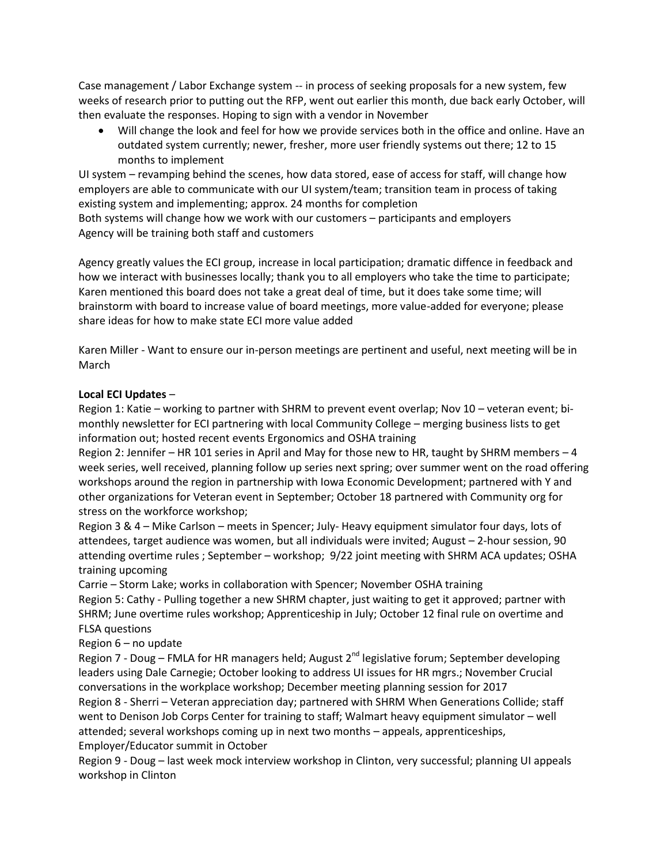Case management / Labor Exchange system -- in process of seeking proposals for a new system, few weeks of research prior to putting out the RFP, went out earlier this month, due back early October, will then evaluate the responses. Hoping to sign with a vendor in November

 Will change the look and feel for how we provide services both in the office and online. Have an outdated system currently; newer, fresher, more user friendly systems out there; 12 to 15 months to implement

UI system – revamping behind the scenes, how data stored, ease of access for staff, will change how employers are able to communicate with our UI system/team; transition team in process of taking existing system and implementing; approx. 24 months for completion

Both systems will change how we work with our customers – participants and employers Agency will be training both staff and customers

Agency greatly values the ECI group, increase in local participation; dramatic diffence in feedback and how we interact with businesses locally; thank you to all employers who take the time to participate; Karen mentioned this board does not take a great deal of time, but it does take some time; will brainstorm with board to increase value of board meetings, more value-added for everyone; please share ideas for how to make state ECI more value added

Karen Miller - Want to ensure our in-person meetings are pertinent and useful, next meeting will be in March

## **Local ECI Updates** –

Region 1: Katie – working to partner with SHRM to prevent event overlap; Nov 10 – veteran event; bimonthly newsletter for ECI partnering with local Community College – merging business lists to get information out; hosted recent events Ergonomics and OSHA training

Region 2: Jennifer – HR 101 series in April and May for those new to HR, taught by SHRM members – 4 week series, well received, planning follow up series next spring; over summer went on the road offering workshops around the region in partnership with Iowa Economic Development; partnered with Y and other organizations for Veteran event in September; October 18 partnered with Community org for stress on the workforce workshop;

Region 3 & 4 – Mike Carlson – meets in Spencer; July- Heavy equipment simulator four days, lots of attendees, target audience was women, but all individuals were invited; August – 2-hour session, 90 attending overtime rules ; September – workshop; 9/22 joint meeting with SHRM ACA updates; OSHA training upcoming

Carrie – Storm Lake; works in collaboration with Spencer; November OSHA training Region 5: Cathy - Pulling together a new SHRM chapter, just waiting to get it approved; partner with SHRM; June overtime rules workshop; Apprenticeship in July; October 12 final rule on overtime and FLSA questions

Region 6 – no update

Region 7 - Doug – FMLA for HR managers held; August 2<sup>nd</sup> legislative forum; September developing leaders using Dale Carnegie; October looking to address UI issues for HR mgrs.; November Crucial conversations in the workplace workshop; December meeting planning session for 2017 Region 8 - Sherri – Veteran appreciation day; partnered with SHRM When Generations Collide; staff went to Denison Job Corps Center for training to staff; Walmart heavy equipment simulator – well attended; several workshops coming up in next two months – appeals, apprenticeships, Employer/Educator summit in October

Region 9 - Doug – last week mock interview workshop in Clinton, very successful; planning UI appeals workshop in Clinton